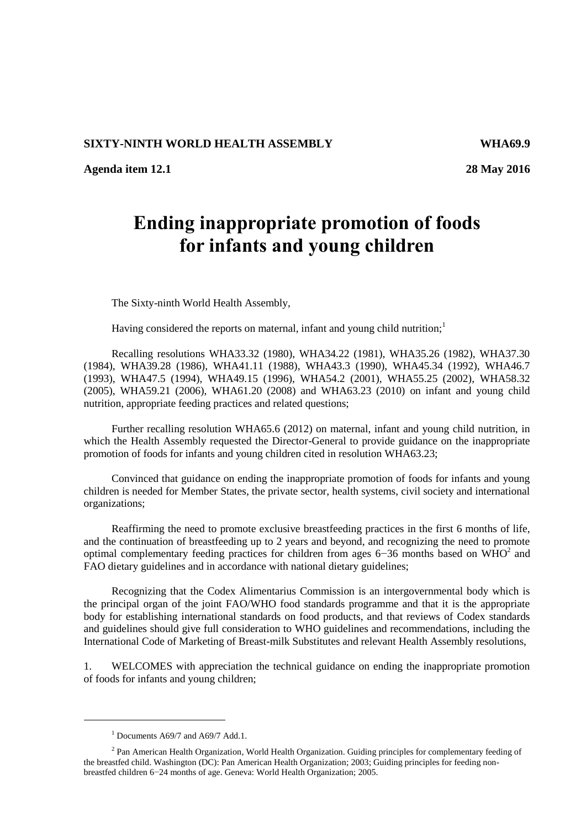## **SIXTY-NINTH WORLD HEALTH ASSEMBLY WHA69.9**

**Agenda item 12.1 28 May 2016**

## **Ending inappropriate promotion of foods for infants and young children**

The Sixty-ninth World Health Assembly,

Having considered the reports on maternal, infant and young child nutrition;<sup>1</sup>

Recalling resolutions WHA33.32 (1980), WHA34.22 (1981), WHA35.26 (1982), WHA37.30 (1984), WHA39.28 (1986), WHA41.11 (1988), WHA43.3 (1990), WHA45.34 (1992), WHA46.7 (1993), WHA47.5 (1994), WHA49.15 (1996), WHA54.2 (2001), WHA55.25 (2002), WHA58.32 (2005), WHA59.21 (2006), WHA61.20 (2008) and WHA63.23 (2010) on infant and young child nutrition, appropriate feeding practices and related questions;

Further recalling resolution WHA65.6 (2012) on maternal, infant and young child nutrition, in which the Health Assembly requested the Director-General to provide guidance on the inappropriate promotion of foods for infants and young children cited in resolution WHA63.23;

Convinced that guidance on ending the inappropriate promotion of foods for infants and young children is needed for Member States, the private sector, health systems, civil society and international organizations;

Reaffirming the need to promote exclusive breastfeeding practices in the first 6 months of life, and the continuation of breastfeeding up to 2 years and beyond, and recognizing the need to promote optimal complementary feeding practices for children from ages  $6-36$  months based on WHO<sup>2</sup> and FAO dietary guidelines and in accordance with national dietary guidelines;

Recognizing that the Codex Alimentarius Commission is an intergovernmental body which is the principal organ of the joint FAO/WHO food standards programme and that it is the appropriate body for establishing international standards on food products, and that reviews of Codex standards and guidelines should give full consideration to WHO guidelines and recommendations, including the International Code of Marketing of Breast-milk Substitutes and relevant Health Assembly resolutions,

1. WELCOMES with appreciation the technical guidance on ending the inappropriate promotion of foods for infants and young children;

1

 $<sup>1</sup>$  Documents A69/7 and A69/7 Add.1.</sup>

<sup>&</sup>lt;sup>2</sup> Pan American Health Organization, World Health Organization. Guiding principles for complementary feeding of the breastfed child. Washington (DC): Pan American Health Organization; 2003; Guiding principles for feeding nonbreastfed children 6−24 months of age. Geneva: World Health Organization; 2005.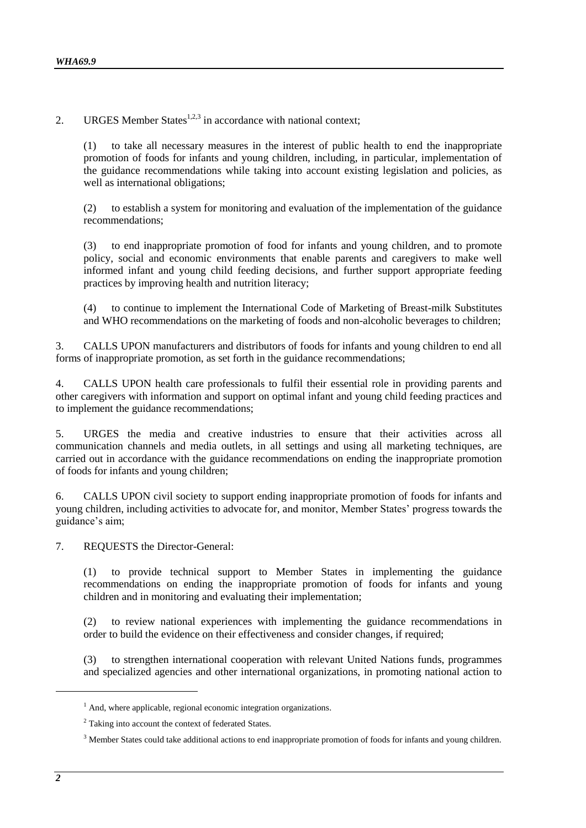2. URGES Member States $1,2,3$  in accordance with national context;

(1) to take all necessary measures in the interest of public health to end the inappropriate promotion of foods for infants and young children, including, in particular, implementation of the guidance recommendations while taking into account existing legislation and policies, as well as international obligations:

(2) to establish a system for monitoring and evaluation of the implementation of the guidance recommendations;

(3) to end inappropriate promotion of food for infants and young children, and to promote policy, social and economic environments that enable parents and caregivers to make well informed infant and young child feeding decisions, and further support appropriate feeding practices by improving health and nutrition literacy;

(4) to continue to implement the International Code of Marketing of Breast-milk Substitutes and WHO recommendations on the marketing of foods and non-alcoholic beverages to children;

3. CALLS UPON manufacturers and distributors of foods for infants and young children to end all forms of inappropriate promotion, as set forth in the guidance recommendations;

4. CALLS UPON health care professionals to fulfil their essential role in providing parents and other caregivers with information and support on optimal infant and young child feeding practices and to implement the guidance recommendations;

5. URGES the media and creative industries to ensure that their activities across all communication channels and media outlets, in all settings and using all marketing techniques, are carried out in accordance with the guidance recommendations on ending the inappropriate promotion of foods for infants and young children;

6. CALLS UPON civil society to support ending inappropriate promotion of foods for infants and young children, including activities to advocate for, and monitor, Member States' progress towards the guidance's aim;

7. REQUESTS the Director-General:

(1) to provide technical support to Member States in implementing the guidance recommendations on ending the inappropriate promotion of foods for infants and young children and in monitoring and evaluating their implementation;

(2) to review national experiences with implementing the guidance recommendations in order to build the evidence on their effectiveness and consider changes, if required;

(3) to strengthen international cooperation with relevant United Nations funds, programmes and specialized agencies and other international organizations, in promoting national action to

-

 $<sup>1</sup>$  And, where applicable, regional economic integration organizations.</sup>

<sup>&</sup>lt;sup>2</sup> Taking into account the context of federated States.

<sup>&</sup>lt;sup>3</sup> Member States could take additional actions to end inappropriate promotion of foods for infants and young children.